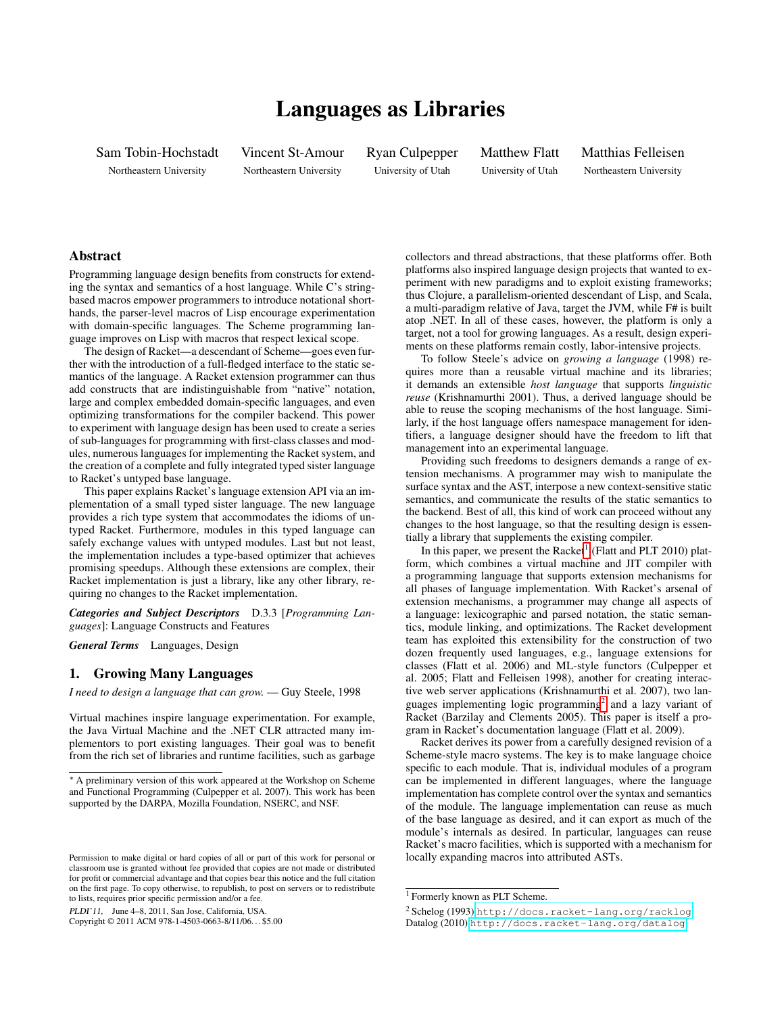# Languages as Libraries

Sam Tobin-Hochstadt Northeastern University

Vincent St-Amour Northeastern University

Ryan Culpepper University of Utah

Matthew Flatt University of Utah

Matthias Felleisen Northeastern University

## Abstract

Programming language design benefits from constructs for extending the syntax and semantics of a host language. While C's stringbased macros empower programmers to introduce notational shorthands, the parser-level macros of Lisp encourage experimentation with domain-specific languages. The Scheme programming language improves on Lisp with macros that respect lexical scope.

The design of Racket—a descendant of Scheme—goes even further with the introduction of a full-fledged interface to the static semantics of the language. A Racket extension programmer can thus add constructs that are indistinguishable from "native" notation, large and complex embedded domain-specific languages, and even optimizing transformations for the compiler backend. This power to experiment with language design has been used to create a series of sub-languages for programming with first-class classes and modules, numerous languages for implementing the Racket system, and the creation of a complete and fully integrated typed sister language to Racket's untyped base language.

This paper explains Racket's language extension API via an implementation of a small typed sister language. The new language provides a rich type system that accommodates the idioms of untyped Racket. Furthermore, modules in this typed language can safely exchange values with untyped modules. Last but not least, the implementation includes a type-based optimizer that achieves promising speedups. Although these extensions are complex, their Racket implementation is just a library, like any other library, requiring no changes to the Racket implementation.

*Categories and Subject Descriptors* D.3.3 [*Programming Languages*]: Language Constructs and Features

*General Terms* Languages, Design

## 1. Growing Many Languages

*I need to design a language that can grow.* — Guy Steele, 1998

Virtual machines inspire language experimentation. For example, the Java Virtual Machine and the .NET CLR attracted many implementors to port existing languages. Their goal was to benefit from the rich set of libraries and runtime facilities, such as garbage

PLDI'11, June 4–8, 2011, San Jose, California, USA.

Copyright © 2011 ACM 978-1-4503-0663-8/11/06. . . \$5.00

collectors and thread abstractions, that these platforms offer. Both platforms also inspired language design projects that wanted to experiment with new paradigms and to exploit existing frameworks; thus Clojure, a parallelism-oriented descendant of Lisp, and Scala, a multi-paradigm relative of Java, target the JVM, while F# is built atop .NET. In all of these cases, however, the platform is only a target, not a tool for growing languages. As a result, design experiments on these platforms remain costly, labor-intensive projects.

To follow Steele's advice on *growing a language* (1998) requires more than a reusable virtual machine and its libraries; it demands an extensible *host language* that supports *linguistic reuse* (Krishnamurthi 2001). Thus, a derived language should be able to reuse the scoping mechanisms of the host language. Similarly, if the host language offers namespace management for identifiers, a language designer should have the freedom to lift that management into an experimental language.

Providing such freedoms to designers demands a range of extension mechanisms. A programmer may wish to manipulate the surface syntax and the AST, interpose a new context-sensitive static semantics, and communicate the results of the static semantics to the backend. Best of all, this kind of work can proceed without any changes to the host language, so that the resulting design is essentially a library that supplements the existing compiler.

In this paper, we present the Racket<sup>[1](#page-0-0)</sup> (Flatt and PLT 2010) platform, which combines a virtual machine and JIT compiler with a programming language that supports extension mechanisms for all phases of language implementation. With Racket's arsenal of extension mechanisms, a programmer may change all aspects of a language: lexicographic and parsed notation, the static semantics, module linking, and optimizations. The Racket development team has exploited this extensibility for the construction of two dozen frequently used languages, e.g., language extensions for classes (Flatt et al. 2006) and ML-style functors (Culpepper et al. 2005; Flatt and Felleisen 1998), another for creating interactive web server applications (Krishnamurthi et al. 2007), two lan-guages implementing logic programming<sup>[2](#page-0-1)</sup> and a lazy variant of Racket (Barzilay and Clements 2005). This paper is itself a program in Racket's documentation language (Flatt et al. 2009).

Racket derives its power from a carefully designed revision of a Scheme-style macro systems. The key is to make language choice specific to each module. That is, individual modules of a program can be implemented in different languages, where the language implementation has complete control over the syntax and semantics of the module. The language implementation can reuse as much of the base language as desired, and it can export as much of the module's internals as desired. In particular, languages can reuse Racket's macro facilities, which is supported with a mechanism for locally expanding macros into attributed ASTs.

<sup>∗</sup> A preliminary version of this work appeared at the Workshop on Scheme and Functional Programming (Culpepper et al. 2007). This work has been supported by the DARPA, Mozilla Foundation, NSERC, and NSF.

Permission to make digital or hard copies of all or part of this work for personal or classroom use is granted without fee provided that copies are not made or distributed for profit or commercial advantage and that copies bear this notice and the full citation on the first page. To copy otherwise, to republish, to post on servers or to redistribute to lists, requires prior specific permission and/or a fee.

<span id="page-0-0"></span><sup>1</sup> Formerly known as PLT Scheme.

<span id="page-0-1"></span><sup>2</sup> Schelog (1993) <http://docs.racket-lang.org/racklog> Datalog (2010) <http://docs.racket-lang.org/datalog>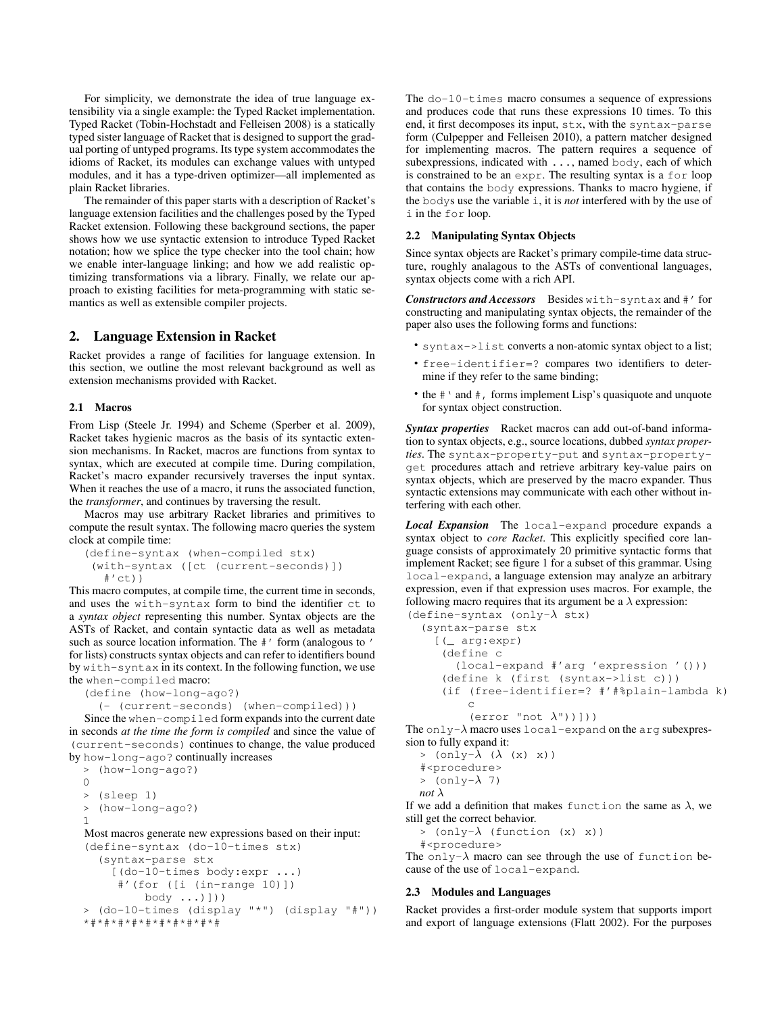For simplicity, we demonstrate the idea of true language extensibility via a single example: the Typed Racket implementation. Typed Racket (Tobin-Hochstadt and Felleisen 2008) is a statically typed sister language of Racket that is designed to support the gradual porting of untyped programs. Its type system accommodates the idioms of Racket, its modules can exchange values with untyped modules, and it has a type-driven optimizer—all implemented as plain Racket libraries.

The remainder of this paper starts with a description of Racket's language extension facilities and the challenges posed by the Typed Racket extension. Following these background sections, the paper shows how we use syntactic extension to introduce Typed Racket notation; how we splice the type checker into the tool chain; how we enable inter-language linking; and how we add realistic optimizing transformations via a library. Finally, we relate our approach to existing facilities for meta-programming with static semantics as well as extensible compiler projects.

#### 2. Language Extension in Racket

Racket provides a range of facilities for language extension. In this section, we outline the most relevant background as well as extension mechanisms provided with Racket.

#### 2.1 Macros

From Lisp (Steele Jr. 1994) and Scheme (Sperber et al. 2009), Racket takes hygienic macros as the basis of its syntactic extension mechanisms. In Racket, macros are functions from syntax to syntax, which are executed at compile time. During compilation, Racket's macro expander recursively traverses the input syntax. When it reaches the use of a macro, it runs the associated function, the *transformer*, and continues by traversing the result.

Macros may use arbitrary Racket libraries and primitives to compute the result syntax. The following macro queries the system clock at compile time:

```
(define-syntax (when-compiled stx)
 (with-syntax ([ct (current-seconds)])
  #'ct))
```
This macro computes, at compile time, the current time in seconds, and uses the with-syntax form to bind the identifier ct to a *syntax object* representing this number. Syntax objects are the ASTs of Racket, and contain syntactic data as well as metadata such as source location information. The  $\#$  ' form (analogous to ' for lists) constructs syntax objects and can refer to identifiers bound by with-syntax in its context. In the following function, we use the when-compiled macro:

```
(define (how-long-ago?)
```

```
(- (current-seconds) (when-compiled)))
```
Since the when-compiled form expands into the current date in seconds *at the time the form is compiled* and since the value of (current-seconds) continues to change, the value produced by how-long-ago? continually increases

```
> (how-long-ago?)
\, \, \,> (sleep 1)
> (how-long-ago?)
1
Most macros generate new expressions based on their input:
(define-syntax (do-10-times stx)
  (syntax-parse stx
     [(do-10-times body:expr ...)
```

```
#'(for ([i (in-range 10)])
         body \ldots)]))
> (do-10-times (display "*") (display "#"))
*#*#*#*#*#*#*#*#*#*#
```
The do-10-times macro consumes a sequence of expressions and produces code that runs these expressions 10 times. To this end, it first decomposes its input, stx, with the syntax-parse form (Culpepper and Felleisen 2010), a pattern matcher designed for implementing macros. The pattern requires a sequence of subexpressions, indicated with ..., named body, each of which is constrained to be an expr. The resulting syntax is a for loop that contains the body expressions. Thanks to macro hygiene, if the bodys use the variable i, it is *not* interfered with by the use of i in the for loop.

#### 2.2 Manipulating Syntax Objects

Since syntax objects are Racket's primary compile-time data structure, roughly analagous to the ASTs of conventional languages, syntax objects come with a rich API.

*Constructors and Accessors* Besides with-syntax and #' for constructing and manipulating syntax objects, the remainder of the paper also uses the following forms and functions:

- syntax->list converts a non-atomic syntax object to a list;
- free-identifier=? compares two identifiers to determine if they refer to the same binding;
- the  $\#$  and  $\#$ , forms implement Lisp's quasiquote and unquote for syntax object construction.

*Syntax properties* Racket macros can add out-of-band information to syntax objects, e.g., source locations, dubbed *syntax properties*. The syntax-property-put and syntax-propertyget procedures attach and retrieve arbitrary key-value pairs on syntax objects, which are preserved by the macro expander. Thus syntactic extensions may communicate with each other without interfering with each other.

*Local Expansion* The local-expand procedure expands a syntax object to *core Racket*. This explicitly specified core language consists of approximately 20 primitive syntactic forms that implement Racket; see figure 1 for a subset of this grammar. Using local-expand, a language extension may analyze an arbitrary expression, even if that expression uses macros. For example, the following macro requires that its argument be a  $\lambda$  expression:

```
(define-syntax (only-\lambda stx)
  (syntax-parse stx
    [(_ arg:expr)
     (define c
       (local-expand #'arg 'expression '()))
     (define k (first (syntax->list c)))
     (if (free-identifier=? #'#%plain-lambda k)
         c
         (error "not \lambda"))]))
```
The only- $\lambda$  macro uses local-expand on the arg subexpression to fully expand it:

```
> (only-\lambda (\lambda (x) x))
#<procedure>
> (only-\lambda 7)
not λ
```
If we add a definition that makes function the same as  $\lambda$ , we still get the correct behavior.

 $>$  (only- $\lambda$  (function (x) x))

#<procedure>

The only- $\lambda$  macro can see through the use of function because of the use of local-expand.

#### 2.3 Modules and Languages

Racket provides a first-order module system that supports import and export of language extensions (Flatt 2002). For the purposes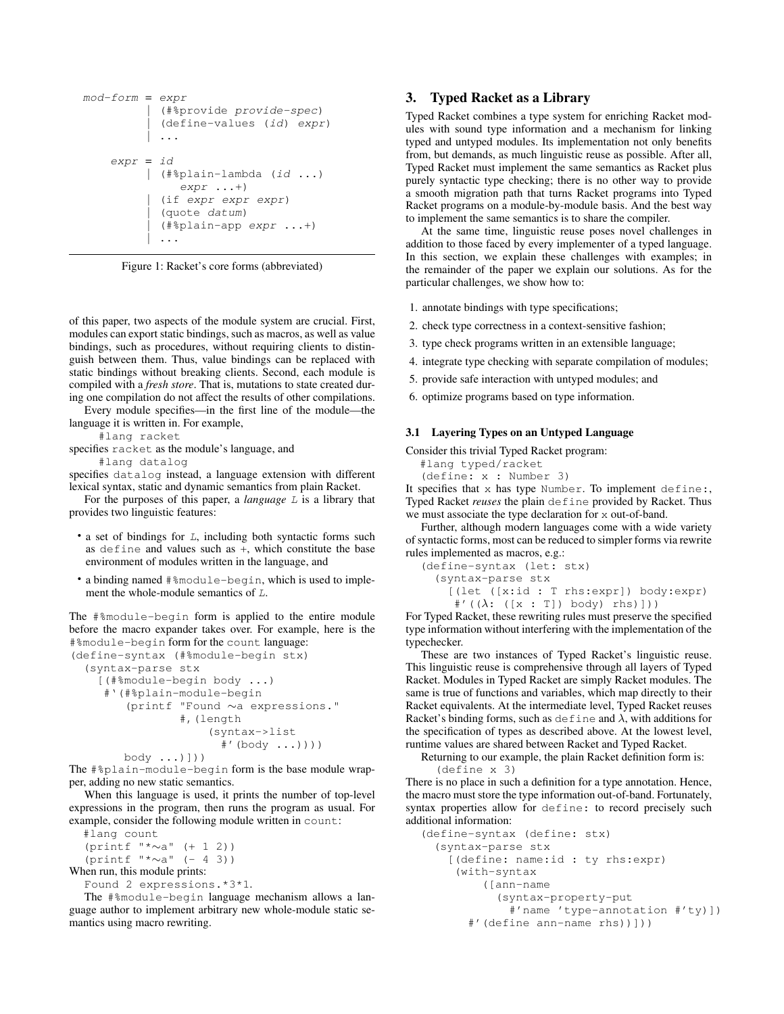```
mod-form = expr
           | (#%provide provide-spec)
            | (define-values (id) expr)
            | ...
    expr = id
          | (#%plain-lambda (id ...)
               expr ...+)
            | (if expr expr expr)
            | (quote datum)
            | (#%plain-app expr ...+)
            | ...
```
Figure 1: Racket's core forms (abbreviated)

of this paper, two aspects of the module system are crucial. First, modules can export static bindings, such as macros, as well as value bindings, such as procedures, without requiring clients to distinguish between them. Thus, value bindings can be replaced with static bindings without breaking clients. Second, each module is compiled with a *fresh store*. That is, mutations to state created during one compilation do not affect the results of other compilations.

Every module specifies—in the first line of the module—the language it is written in. For example,

#lang racket

specifies racket as the module's language, and

#lang datalog

specifies datalog instead, a language extension with different lexical syntax, static and dynamic semantics from plain Racket.

For the purposes of this paper, a *language L* is a library that provides two linguistic features:

- a set of bindings for *L*, including both syntactic forms such as define and values such as +, which constitute the base environment of modules written in the language, and
- a binding named #%module-begin, which is used to implement the whole-module semantics of *L*.

The #%module-begin form is applied to the entire module before the macro expander takes over. For example, here is the #%module-begin form for the count language:

```
(define-syntax (#%module-begin stx)
  (syntax-parse stx
   [(#%module-begin body ...)
     #'(#%plain-module-begin
        (printf "Found ∼a expressions."
                #,(length
                    (syntax->list
                      #'(body ...))))
```

```
body ...)]))
```
The #%plain-module-begin form is the base module wrapper, adding no new static semantics.

When this language is used, it prints the number of top-level expressions in the program, then runs the program as usual. For example, consider the following module written in count:

#lang count (printf "\*∼a" (+ 1 2)) (printf "\*∼a" (- 4 3))

When run, this module prints:

Found 2 expressions.\*3\*1.

The #%module-begin language mechanism allows a language author to implement arbitrary new whole-module static semantics using macro rewriting.

# 3. Typed Racket as a Library

Typed Racket combines a type system for enriching Racket modules with sound type information and a mechanism for linking typed and untyped modules. Its implementation not only benefits from, but demands, as much linguistic reuse as possible. After all, Typed Racket must implement the same semantics as Racket plus purely syntactic type checking; there is no other way to provide a smooth migration path that turns Racket programs into Typed Racket programs on a module-by-module basis. And the best way to implement the same semantics is to share the compiler.

At the same time, linguistic reuse poses novel challenges in addition to those faced by every implementer of a typed language. In this section, we explain these challenges with examples; in the remainder of the paper we explain our solutions. As for the particular challenges, we show how to:

- 1. annotate bindings with type specifications;
- 2. check type correctness in a context-sensitive fashion;
- 3. type check programs written in an extensible language;
- 4. integrate type checking with separate compilation of modules;
- 5. provide safe interaction with untyped modules; and
- 6. optimize programs based on type information.

#### 3.1 Layering Types on an Untyped Language

Consider this trivial Typed Racket program:

#lang typed/racket

(define: x : Number 3)

It specifies that x has type Number. To implement define:, Typed Racket *reuses* the plain define provided by Racket. Thus we must associate the type declaration for x out-of-band.

Further, although modern languages come with a wide variety of syntactic forms, most can be reduced to simpler forms via rewrite rules implemented as macros, e.g.:

```
(define-syntax (let: stx)
  (syntax-parse stx
    [(let ([x:id : T rhs:expr]) body:expr)
     #'((\lambda: ([x : T]) body) rhs)]))
```
For Typed Racket, these rewriting rules must preserve the specified type information without interfering with the implementation of the typechecker.

These are two instances of Typed Racket's linguistic reuse. This linguistic reuse is comprehensive through all layers of Typed Racket. Modules in Typed Racket are simply Racket modules. The same is true of functions and variables, which map directly to their Racket equivalents. At the intermediate level, Typed Racket reuses Racket's binding forms, such as define and  $\lambda$ , with additions for the specification of types as described above. At the lowest level, runtime values are shared between Racket and Typed Racket.

Returning to our example, the plain Racket definition form is:

(define x 3)

There is no place in such a definition for a type annotation. Hence, the macro must store the type information out-of-band. Fortunately, syntax properties allow for define: to record precisely such additional information:

```
(define-syntax (define: stx)
  (syntax-parse stx
    [(define: name:id : ty rhs:expr)
     (with-syntax
         ([ann-name
           (syntax-property-put
             #'name 'type-annotation #'ty)])
       #'(define ann-name rhs))]))
```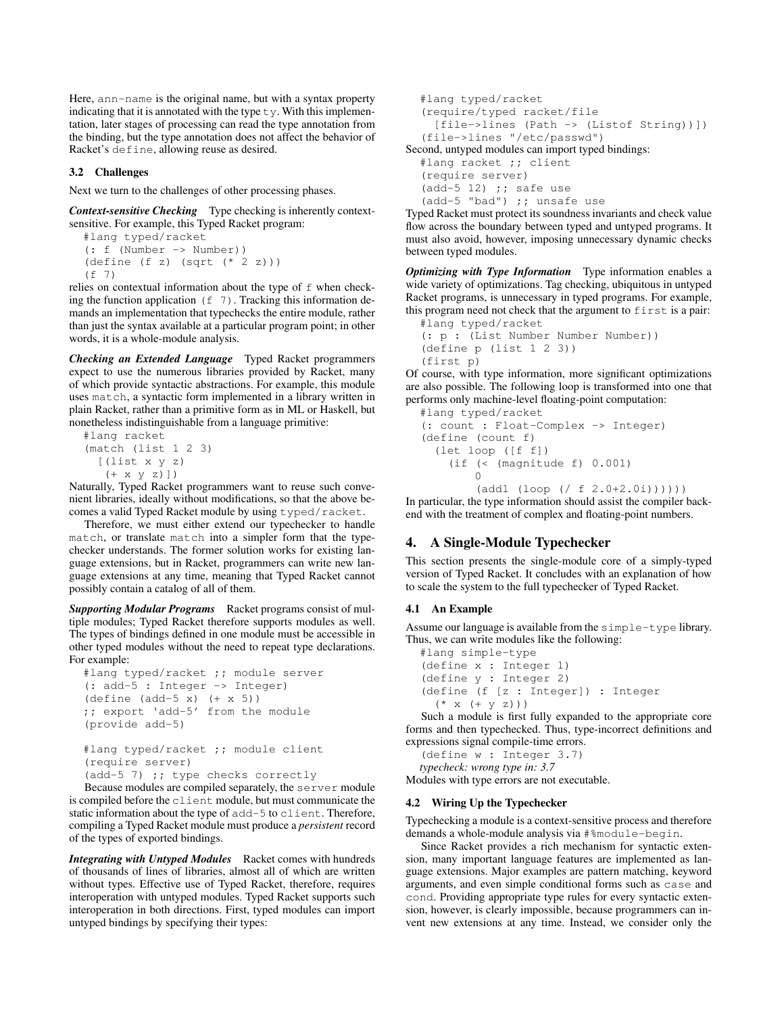Here, ann-name is the original name, but with a syntax property indicating that it is annotated with the type  $\forall y$ . With this implementation, later stages of processing can read the type annotation from the binding, but the type annotation does not affect the behavior of Racket's define, allowing reuse as desired.

### 3.2 Challenges

Next we turn to the challenges of other processing phases.

*Context-sensitive Checking* Type checking is inherently contextsensitive. For example, this Typed Racket program:

```
#lang typed/racket
(: f (Number -> Number))
(define (f z) (sqrt (* 2 z)))
(f 7)
```
relies on contextual information about the type of  $f$  when checking the function application  $(f \ 7)$ . Tracking this information demands an implementation that typechecks the entire module, rather than just the syntax available at a particular program point; in other words, it is a whole-module analysis.

*Checking an Extended Language* Typed Racket programmers expect to use the numerous libraries provided by Racket, many of which provide syntactic abstractions. For example, this module uses match, a syntactic form implemented in a library written in plain Racket, rather than a primitive form as in ML or Haskell, but nonetheless indistinguishable from a language primitive:

#lang racket (match (list 1 2 3) [(list x y z) (+ x y z)])

Naturally, Typed Racket programmers want to reuse such convenient libraries, ideally without modifications, so that the above becomes a valid Typed Racket module by using typed/racket.

Therefore, we must either extend our typechecker to handle match, or translate match into a simpler form that the typechecker understands. The former solution works for existing language extensions, but in Racket, programmers can write new language extensions at any time, meaning that Typed Racket cannot possibly contain a catalog of all of them.

*Supporting Modular Programs* Racket programs consist of multiple modules; Typed Racket therefore supports modules as well. The types of bindings defined in one module must be accessible in other typed modules without the need to repeat type declarations. For example:

```
#lang typed/racket ;; module server
(: add-5 : Integer -> Integer)
(\text{define } (\text{add-5 x}) (+ x 5));; export 'add-5' from the module
(provide add-5)
#lang typed/racket ;; module client
(require server)
(add-5 7) ;; type checks correctly
```
Because modules are compiled separately, the server module is compiled before the client module, but must communicate the static information about the type of add-5 to client. Therefore, compiling a Typed Racket module must produce a *persistent* record of the types of exported bindings.

*Integrating with Untyped Modules* Racket comes with hundreds of thousands of lines of libraries, almost all of which are written without types. Effective use of Typed Racket, therefore, requires interoperation with untyped modules. Typed Racket supports such interoperation in both directions. First, typed modules can import untyped bindings by specifying their types:

```
#lang typed/racket
  (require/typed racket/file
    [file->lines (Path -> (Listof String))])
  (file->lines "/etc/passwd")
Second, untyped modules can import typed bindings:
  #lang racket ;; client
  (require server)
  (add-5 12) ; safe use
```
(add-5 "bad") ;; unsafe use Typed Racket must protect its soundness invariants and check value flow across the boundary between typed and untyped programs. It must also avoid, however, imposing unnecessary dynamic checks between typed modules.

*Optimizing with Type Information* Type information enables a wide variety of optimizations. Tag checking, ubiquitous in untyped Racket programs, is unnecessary in typed programs. For example, this program need not check that the argument to first is a pair:

```
#lang typed/racket
(: p : (List Number Number Number))
(define p (list 1 2 3))
(first p)
```
Of course, with type information, more significant optimizations are also possible. The following loop is transformed into one that performs only machine-level floating-point computation:

```
#lang typed/racket
(: count : Float-Complex -> Integer)
(define (count f)
  (let loop ([f f])
    (if (< (magnitude f) 0.001)
        \Omega(add1 (loop (/ f 2.0+2.0i))))))
```
In particular, the type information should assist the compiler backend with the treatment of complex and floating-point numbers.

# 4. A Single-Module Typechecker

This section presents the single-module core of a simply-typed version of Typed Racket. It concludes with an explanation of how to scale the system to the full typechecker of Typed Racket.

## 4.1 An Example

Assume our language is available from the simple-type library. Thus, we can write modules like the following:

```
#lang simple-type
(define x : Integer 1)
(define y : Integer 2)
(define (f [z : Integer]) : Integer
  (* x (+ y z)))
```
Such a module is first fully expanded to the appropriate core forms and then typechecked. Thus, type-incorrect definitions and expressions signal compile-time errors.

```
(define w : Integer 3.7)
typecheck: wrong type in: 3.7
```
Modules with type errors are not executable.

#### 4.2 Wiring Up the Typechecker

Typechecking a module is a context-sensitive process and therefore demands a whole-module analysis via #%module-begin.

Since Racket provides a rich mechanism for syntactic extension, many important language features are implemented as language extensions. Major examples are pattern matching, keyword arguments, and even simple conditional forms such as case and cond. Providing appropriate type rules for every syntactic extension, however, is clearly impossible, because programmers can invent new extensions at any time. Instead, we consider only the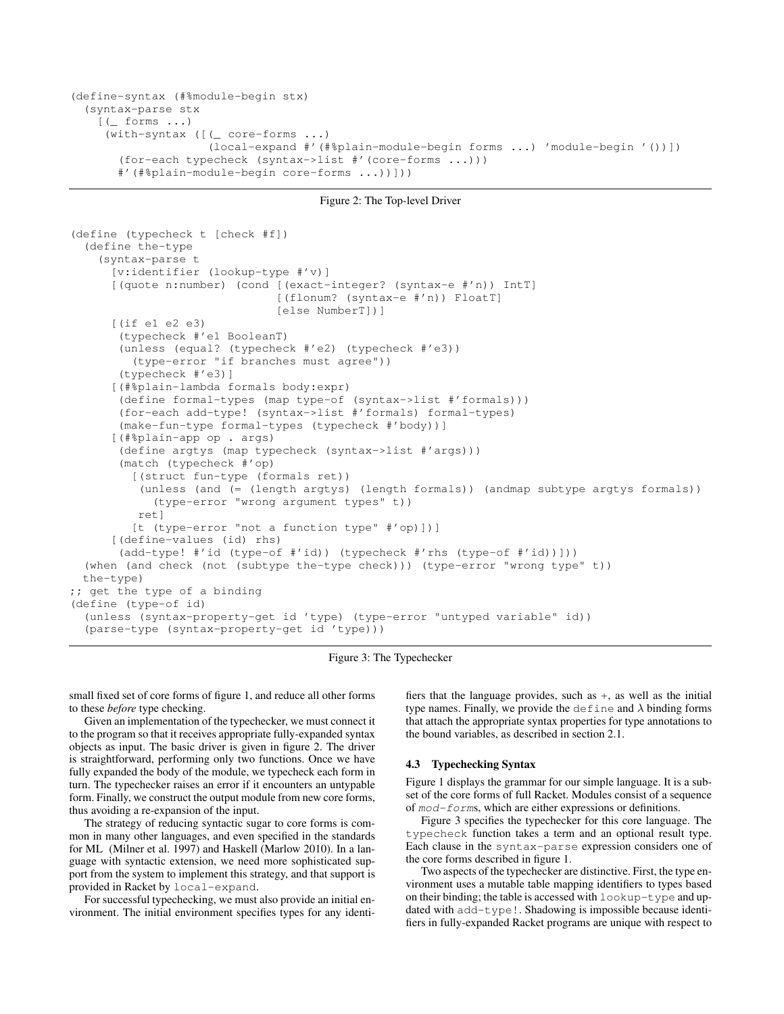```
(define-syntax (#%module-begin stx)
  (syntax-parse stx
   [ ( forms \ldots )
     (with-syntax ([(_ core-forms ...)
                    (local-expand #'(#%plain-module-begin forms ...) 'module-begin '())])
       (for-each typecheck (syntax->list #'(core-forms ...)))
       #'(#%plain-module-begin core-forms ...))]))
```
#### Figure 2: The Top-level Driver

```
(define (typecheck t [check #f])
  (define the-type
    (syntax-parse t
      [v:identifier (lookup-type #'v)]
      [(quote n:number) (cond [(exact-integer? (syntax-e #'n)) IntT]
                              [(flonum? (syntax-e #'n)) FloatT]
                              [else NumberT])]
      [(if e1 e2 e3)
       (typecheck #'e1 BooleanT)
       (unless (equal? (typecheck #'e2) (typecheck #'e3))
         (type-error "if branches must agree"))
       (typecheck #'e3)]
      [(#%plain-lambda formals body:expr)
       (define formal-types (map type-of (syntax->list #'formals)))
       (for-each add-type! (syntax->list #'formals) formal-types)
       (make-fun-type formal-types (typecheck #'body))]
      [(#%plain-app op . args)
       (define argtys (map typecheck (syntax->list #'args)))
       (match (typecheck #'op)
         [(struct fun-type (formals ret))
          (unless (and (= (length argtys) (length formals)) (andmap subtype argtys formals))
            (type-error "wrong argument types" t))
          ret]
         [t (type-error "not a function type" #'op)])]
      [(define-values (id) rhs)
       (add-type! #'id (type-of #'id)) (typecheck #'rhs (type-of #'id))]))
  (when (and check (not (subtype the-type check))) (type-error "wrong type" t))
 the-type)
;; get the type of a binding
(define (type-of id)
  (unless (syntax-property-get id 'type) (type-error "untyped variable" id))
  (parse-type (syntax-property-get id 'type)))
```
Figure 3: The Typechecker

small fixed set of core forms of figure 1, and reduce all other forms to these *before* type checking.

Given an implementation of the typechecker, we must connect it to the program so that it receives appropriate fully-expanded syntax objects as input. The basic driver is given in figure 2. The driver is straightforward, performing only two functions. Once we have fully expanded the body of the module, we typecheck each form in turn. The typechecker raises an error if it encounters an untypable form. Finally, we construct the output module from new core forms, thus avoiding a re-expansion of the input.

The strategy of reducing syntactic sugar to core forms is common in many other languages, and even specified in the standards for ML (Milner et al. 1997) and Haskell (Marlow 2010). In a language with syntactic extension, we need more sophisticated support from the system to implement this strategy, and that support is provided in Racket by local-expand.

For successful typechecking, we must also provide an initial environment. The initial environment specifies types for any identi-

fiers that the language provides, such as +, as well as the initial type names. Finally, we provide the define and  $\lambda$  binding forms that attach the appropriate syntax properties for type annotations to the bound variables, as described in section 2.1.

#### 4.3 Typechecking Syntax

Figure 1 displays the grammar for our simple language. It is a subset of the core forms of full Racket. Modules consist of a sequence of *mod-form*s, which are either expressions or definitions.

Figure 3 specifies the typechecker for this core language. The typecheck function takes a term and an optional result type. Each clause in the syntax-parse expression considers one of the core forms described in figure 1.

Two aspects of the typechecker are distinctive. First, the type environment uses a mutable table mapping identifiers to types based on their binding; the table is accessed with lookup-type and updated with add-type!. Shadowing is impossible because identifiers in fully-expanded Racket programs are unique with respect to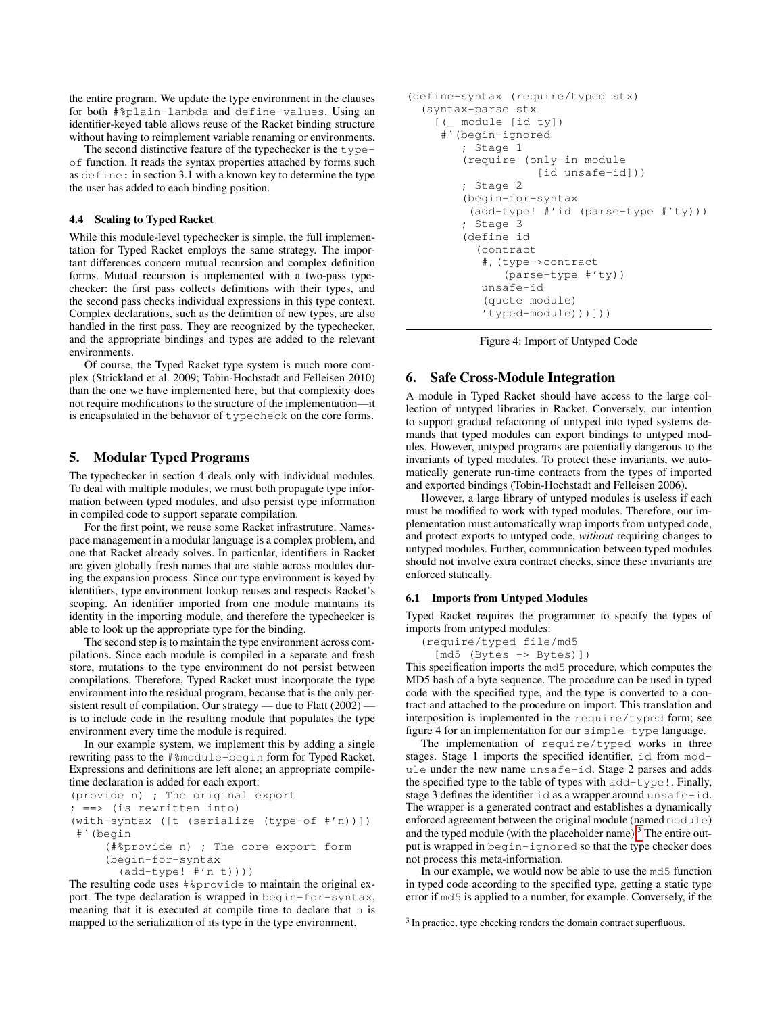the entire program. We update the type environment in the clauses for both #%plain-lambda and define-values. Using an identifier-keyed table allows reuse of the Racket binding structure without having to reimplement variable renaming or environments.

The second distinctive feature of the typechecker is the typeof function. It reads the syntax properties attached by forms such as define: in section 3.1 with a known key to determine the type the user has added to each binding position.

#### 4.4 Scaling to Typed Racket

While this module-level typechecker is simple, the full implementation for Typed Racket employs the same strategy. The important differences concern mutual recursion and complex definition forms. Mutual recursion is implemented with a two-pass typechecker: the first pass collects definitions with their types, and the second pass checks individual expressions in this type context. Complex declarations, such as the definition of new types, are also handled in the first pass. They are recognized by the typechecker, and the appropriate bindings and types are added to the relevant environments.

Of course, the Typed Racket type system is much more complex (Strickland et al. 2009; Tobin-Hochstadt and Felleisen 2010) than the one we have implemented here, but that complexity does not require modifications to the structure of the implementation—it is encapsulated in the behavior of typecheck on the core forms.

#### 5. Modular Typed Programs

The typechecker in section 4 deals only with individual modules. To deal with multiple modules, we must both propagate type information between typed modules, and also persist type information in compiled code to support separate compilation.

For the first point, we reuse some Racket infrastruture. Namespace management in a modular language is a complex problem, and one that Racket already solves. In particular, identifiers in Racket are given globally fresh names that are stable across modules during the expansion process. Since our type environment is keyed by identifiers, type environment lookup reuses and respects Racket's scoping. An identifier imported from one module maintains its identity in the importing module, and therefore the typechecker is able to look up the appropriate type for the binding.

The second step is to maintain the type environment across compilations. Since each module is compiled in a separate and fresh store, mutations to the type environment do not persist between compilations. Therefore, Typed Racket must incorporate the type environment into the residual program, because that is the only persistent result of compilation. Our strategy — due to Flatt (2002) is to include code in the resulting module that populates the type environment every time the module is required.

In our example system, we implement this by adding a single rewriting pass to the #%module-begin form for Typed Racket. Expressions and definitions are left alone; an appropriate compiletime declaration is added for each export:

```
(provide n) ; The original export
; ==> (is rewritten into)
(with-syntax ([t (serialize (type-of #'n))])
#'(begin
     (#%provide n) ; The core export form
     (begin-for-syntax
       (add-type! #'n t))))
```
The resulting code uses #%provide to maintain the original export. The type declaration is wrapped in begin-for-syntax, meaning that it is executed at compile time to declare that n is mapped to the serialization of its type in the type environment.

```
(define-syntax (require/typed stx)
  (syntax-parse stx
    [(_ module [id ty])
     #'(begin-ignored
        ; Stage 1
        (require (only-in module
                   [id unsafe-id]))
        ; Stage 2
        (begin-for-syntax
         (add-type! #'id (parse-type #'ty)))
        ; Stage 3
        (define id
          (contract
           #,(type->contract
              (parse-type #'ty))
           unsafe-id
           (quote module)
           'typed-module)))]))
```
Figure 4: Import of Untyped Code

#### 6. Safe Cross-Module Integration

A module in Typed Racket should have access to the large collection of untyped libraries in Racket. Conversely, our intention to support gradual refactoring of untyped into typed systems demands that typed modules can export bindings to untyped modules. However, untyped programs are potentially dangerous to the invariants of typed modules. To protect these invariants, we automatically generate run-time contracts from the types of imported and exported bindings (Tobin-Hochstadt and Felleisen 2006).

However, a large library of untyped modules is useless if each must be modified to work with typed modules. Therefore, our implementation must automatically wrap imports from untyped code, and protect exports to untyped code, *without* requiring changes to untyped modules. Further, communication between typed modules should not involve extra contract checks, since these invariants are enforced statically.

#### 6.1 Imports from Untyped Modules

Typed Racket requires the programmer to specify the types of imports from untyped modules:

(require/typed file/md5 [md5 (Bytes -> Bytes)])

This specification imports the md5 procedure, which computes the MD5 hash of a byte sequence. The procedure can be used in typed code with the specified type, and the type is converted to a contract and attached to the procedure on import. This translation and interposition is implemented in the require/typed form; see figure 4 for an implementation for our simple-type language.

The implementation of require/typed works in three stages. Stage 1 imports the specified identifier, id from module under the new name unsafe-id. Stage 2 parses and adds the specified type to the table of types with add-type!. Finally, stage 3 defines the identifier id as a wrapper around unsafe-id. The wrapper is a generated contract and establishes a dynamically enforced agreement between the original module (named module) and the typed module (with the placeholder name). $3$  The entire output is wrapped in begin-ignored so that the type checker does not process this meta-information.

In our example, we would now be able to use the md5 function in typed code according to the specified type, getting a static type error if md5 is applied to a number, for example. Conversely, if the

<span id="page-5-0"></span><sup>&</sup>lt;sup>3</sup> In practice, type checking renders the domain contract superfluous.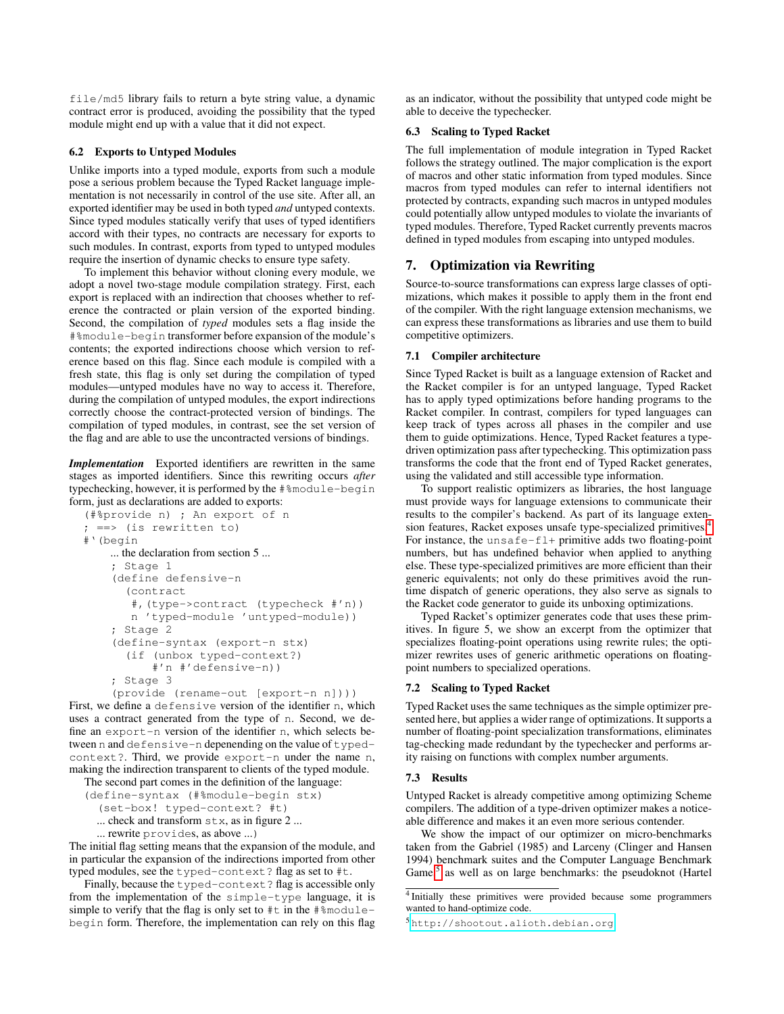file/md5 library fails to return a byte string value, a dynamic contract error is produced, avoiding the possibility that the typed module might end up with a value that it did not expect.

#### 6.2 Exports to Untyped Modules

Unlike imports into a typed module, exports from such a module pose a serious problem because the Typed Racket language implementation is not necessarily in control of the use site. After all, an exported identifier may be used in both typed *and* untyped contexts. Since typed modules statically verify that uses of typed identifiers accord with their types, no contracts are necessary for exports to such modules. In contrast, exports from typed to untyped modules require the insertion of dynamic checks to ensure type safety.

To implement this behavior without cloning every module, we adopt a novel two-stage module compilation strategy. First, each export is replaced with an indirection that chooses whether to reference the contracted or plain version of the exported binding. Second, the compilation of *typed* modules sets a flag inside the #%module-begin transformer before expansion of the module's contents; the exported indirections choose which version to reference based on this flag. Since each module is compiled with a fresh state, this flag is only set during the compilation of typed modules—untyped modules have no way to access it. Therefore, during the compilation of untyped modules, the export indirections correctly choose the contract-protected version of bindings. The compilation of typed modules, in contrast, see the set version of the flag and are able to use the uncontracted versions of bindings.

*Implementation* Exported identifiers are rewritten in the same stages as imported identifiers. Since this rewriting occurs *after* typechecking, however, it is performed by the #%module-begin form, just as declarations are added to exports:

```
(#%provide n) ; An export of n
; ==> (is rewritten to)
#'(begin
   ... the declaration from section 5 ...
    ; Stage 1
    (define defensive-n
      (contract
       #,(type->contract (typecheck #'n))
       n 'typed-module 'untyped-module))
    ; Stage 2
    (define-syntax (export-n stx)
      (if (unbox typed-context?)
          #'n #'defensive-n))
    ; Stage 3
```
(provide (rename-out [export-n n]))) First, we define a defensive version of the identifier n, which uses a contract generated from the type of n. Second, we define an export-n version of the identifier n, which selects between n and defensive-n depenending on the value of typedcontext?. Third, we provide export-n under the name n, making the indirection transparent to clients of the typed module.

```
The second part comes in the definition of the language:
(define-syntax (#%module-begin stx)
  (set-box! typed-context? #t)
  ... check and transform stx, as in figure 2 ...
```

```
... rewrite provides, as above ...)
```
The initial flag setting means that the expansion of the module, and in particular the expansion of the indirections imported from other typed modules, see the typed-context? flag as set to #t.

Finally, because the typed-context? flag is accessible only from the implementation of the simple-type language, it is simple to verify that the flag is only set to  $\#t$  in the  $\#$ <sup>8</sup>modulebegin form. Therefore, the implementation can rely on this flag as an indicator, without the possibility that untyped code might be able to deceive the typechecker.

#### 6.3 Scaling to Typed Racket

The full implementation of module integration in Typed Racket follows the strategy outlined. The major complication is the export of macros and other static information from typed modules. Since macros from typed modules can refer to internal identifiers not protected by contracts, expanding such macros in untyped modules could potentially allow untyped modules to violate the invariants of typed modules. Therefore, Typed Racket currently prevents macros defined in typed modules from escaping into untyped modules.

## 7. Optimization via Rewriting

Source-to-source transformations can express large classes of optimizations, which makes it possible to apply them in the front end of the compiler. With the right language extension mechanisms, we can express these transformations as libraries and use them to build competitive optimizers.

#### 7.1 Compiler architecture

Since Typed Racket is built as a language extension of Racket and the Racket compiler is for an untyped language, Typed Racket has to apply typed optimizations before handing programs to the Racket compiler. In contrast, compilers for typed languages can keep track of types across all phases in the compiler and use them to guide optimizations. Hence, Typed Racket features a typedriven optimization pass after typechecking. This optimization pass transforms the code that the front end of Typed Racket generates, using the validated and still accessible type information.

To support realistic optimizers as libraries, the host language must provide ways for language extensions to communicate their results to the compiler's backend. As part of its language extension features, Racket exposes unsafe type-specialized primitives.[4](#page-6-0) For instance, the unsafe-fl+ primitive adds two floating-point numbers, but has undefined behavior when applied to anything else. These type-specialized primitives are more efficient than their generic equivalents; not only do these primitives avoid the runtime dispatch of generic operations, they also serve as signals to the Racket code generator to guide its unboxing optimizations.

Typed Racket's optimizer generates code that uses these primitives. In figure 5, we show an excerpt from the optimizer that specializes floating-point operations using rewrite rules; the optimizer rewrites uses of generic arithmetic operations on floatingpoint numbers to specialized operations.

#### 7.2 Scaling to Typed Racket

Typed Racket uses the same techniques as the simple optimizer presented here, but applies a wider range of optimizations. It supports a number of floating-point specialization transformations, eliminates tag-checking made redundant by the typechecker and performs arity raising on functions with complex number arguments.

#### 7.3 Results

Untyped Racket is already competitive among optimizing Scheme compilers. The addition of a type-driven optimizer makes a noticeable difference and makes it an even more serious contender.

We show the impact of our optimizer on micro-benchmarks taken from the Gabriel (1985) and Larceny (Clinger and Hansen 1994) benchmark suites and the Computer Language Benchmark Game,<sup>[5](#page-6-1)</sup> as well as on large benchmarks: the pseudoknot (Hartel

<span id="page-6-0"></span><sup>4</sup> Initially these primitives were provided because some programmers wanted to hand-optimize code.

<span id="page-6-1"></span><sup>5</sup> <http://shootout.alioth.debian.org>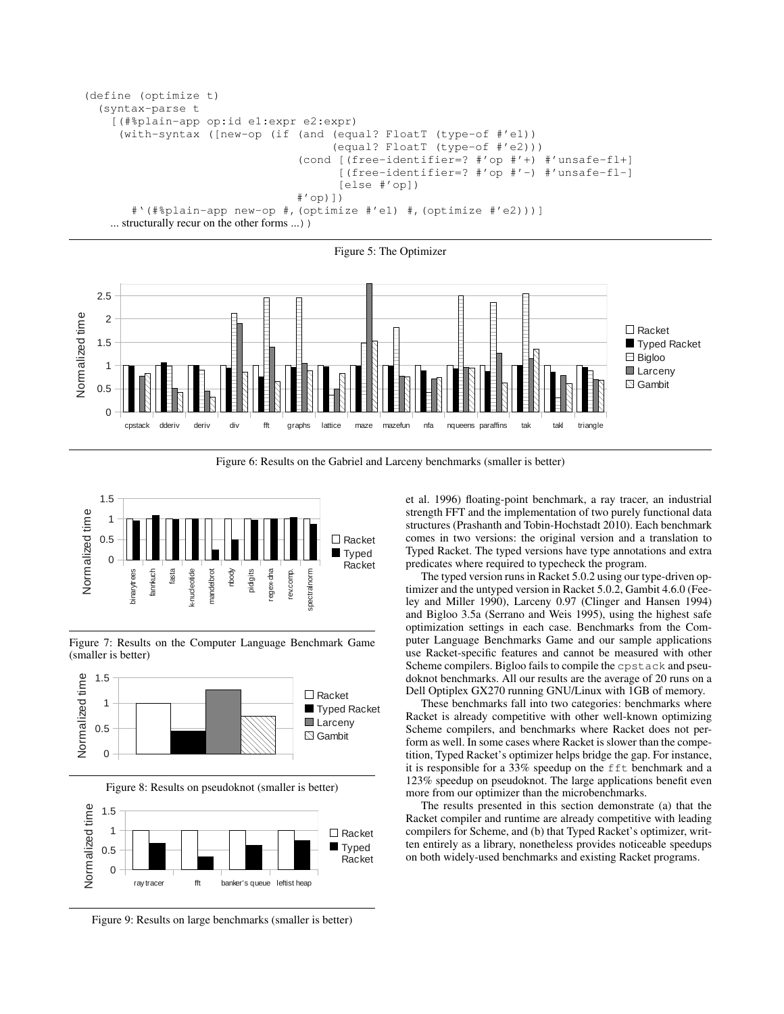```
(define (optimize t)
  (syntax-parse t
    [(#%plain-app op:id e1:expr e2:expr)
     (with-syntax ([new-op (if (and (equal? FloatT (type-of #'e1))
                                       (equal? FloatT (type-of #'e2)))
                                 (cond [(free-identifier=? #'op #'+) #'unsafe-fl+]
                                        [(free-identifier=? #'op #'-) #'unsafe-fl-]
                                        [else #'op])
                                 #'op)])
       #'(#%plain-app new-op #,(optimize #'e1) #,(optimize #'e2)))]
   ... structurally recur on the other forms ...))
```
Figure 5: The Optimizer



Figure 6: Results on the Gabriel and Larceny benchmarks (smaller is better)



Figure 7: Results on the Computer Language Benchmark Game (smaller is better)



Figure 9: Results on large benchmarks (smaller is better)

ray tracer fft banker's queue leftist heap

et al. 1996) floating-point benchmark, a ray tracer, an industrial strength FFT and the implementation of two purely functional data structures (Prashanth and Tobin-Hochstadt 2010). Each benchmark comes in two versions: the original version and a translation to Typed Racket. The typed versions have type annotations and extra predicates where required to typecheck the program.

The typed version runs in Racket 5.0.2 using our type-driven optimizer and the untyped version in Racket 5.0.2, Gambit 4.6.0 (Feeley and Miller 1990), Larceny 0.97 (Clinger and Hansen 1994) and Bigloo 3.5a (Serrano and Weis 1995), using the highest safe optimization settings in each case. Benchmarks from the Computer Language Benchmarks Game and our sample applications use Racket-specific features and cannot be measured with other Scheme compilers. Bigloo fails to compile the cpstack and pseudoknot benchmarks. All our results are the average of 20 runs on a Dell Optiplex GX270 running GNU/Linux with 1GB of memory.

These benchmarks fall into two categories: benchmarks where Racket is already competitive with other well-known optimizing Scheme compilers, and benchmarks where Racket does not perform as well. In some cases where Racket is slower than the competition, Typed Racket's optimizer helps bridge the gap. For instance, it is responsible for a 33% speedup on the fft benchmark and a 123% speedup on pseudoknot. The large applications benefit even more from our optimizer than the microbenchmarks.

The results presented in this section demonstrate (a) that the Racket compiler and runtime are already competitive with leading compilers for Scheme, and (b) that Typed Racket's optimizer, written entirely as a library, nonetheless provides noticeable speedups on both widely-used benchmarks and existing Racket programs.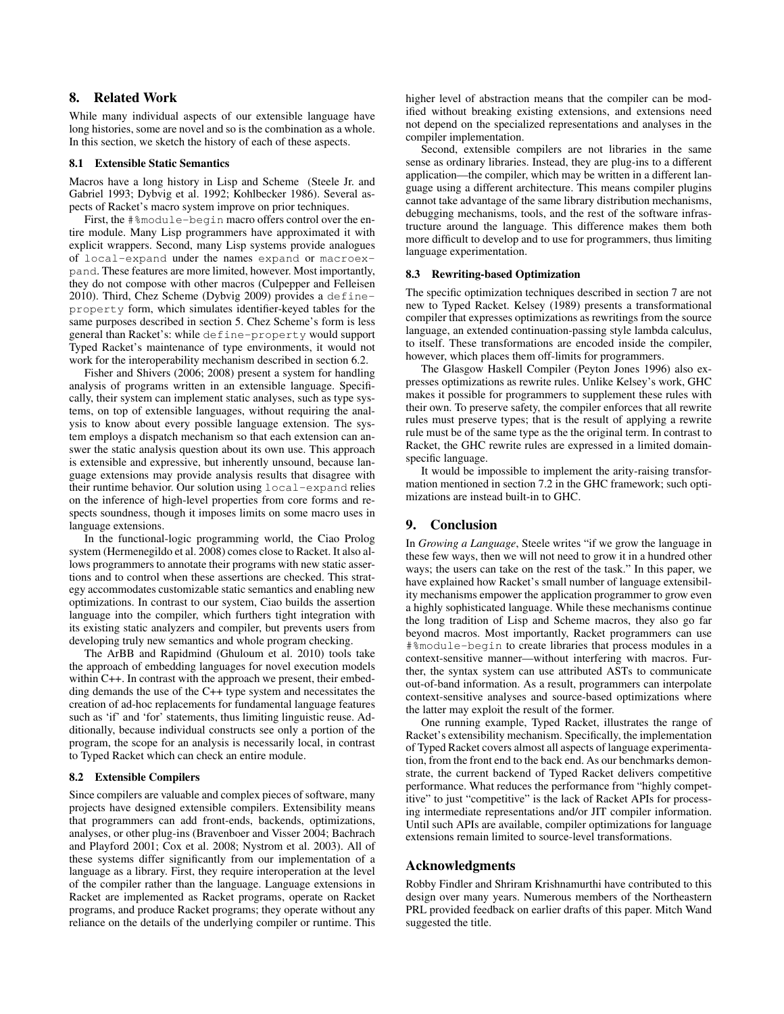# 8. Related Work

While many individual aspects of our extensible language have long histories, some are novel and so is the combination as a whole. In this section, we sketch the history of each of these aspects.

#### 8.1 Extensible Static Semantics

Macros have a long history in Lisp and Scheme (Steele Jr. and Gabriel 1993; Dybvig et al. 1992; Kohlbecker 1986). Several aspects of Racket's macro system improve on prior techniques.

First, the #%module-begin macro offers control over the entire module. Many Lisp programmers have approximated it with explicit wrappers. Second, many Lisp systems provide analogues of local-expand under the names expand or macroexpand. These features are more limited, however. Most importantly, they do not compose with other macros (Culpepper and Felleisen 2010). Third, Chez Scheme (Dybvig 2009) provides a defineproperty form, which simulates identifier-keyed tables for the same purposes described in section 5. Chez Scheme's form is less general than Racket's: while define-property would support Typed Racket's maintenance of type environments, it would not work for the interoperability mechanism described in section 6.2.

Fisher and Shivers (2006; 2008) present a system for handling analysis of programs written in an extensible language. Specifically, their system can implement static analyses, such as type systems, on top of extensible languages, without requiring the analysis to know about every possible language extension. The system employs a dispatch mechanism so that each extension can answer the static analysis question about its own use. This approach is extensible and expressive, but inherently unsound, because language extensions may provide analysis results that disagree with their runtime behavior. Our solution using local-expand relies on the inference of high-level properties from core forms and respects soundness, though it imposes limits on some macro uses in language extensions.

In the functional-logic programming world, the Ciao Prolog system (Hermenegildo et al. 2008) comes close to Racket. It also allows programmers to annotate their programs with new static assertions and to control when these assertions are checked. This strategy accommodates customizable static semantics and enabling new optimizations. In contrast to our system, Ciao builds the assertion language into the compiler, which furthers tight integration with its existing static analyzers and compiler, but prevents users from developing truly new semantics and whole program checking.

The ArBB and Rapidmind (Ghuloum et al. 2010) tools take the approach of embedding languages for novel execution models within C++. In contrast with the approach we present, their embedding demands the use of the C++ type system and necessitates the creation of ad-hoc replacements for fundamental language features such as 'if' and 'for' statements, thus limiting linguistic reuse. Additionally, because individual constructs see only a portion of the program, the scope for an analysis is necessarily local, in contrast to Typed Racket which can check an entire module.

#### 8.2 Extensible Compilers

Since compilers are valuable and complex pieces of software, many projects have designed extensible compilers. Extensibility means that programmers can add front-ends, backends, optimizations, analyses, or other plug-ins (Bravenboer and Visser 2004; Bachrach and Playford 2001; Cox et al. 2008; Nystrom et al. 2003). All of these systems differ significantly from our implementation of a language as a library. First, they require interoperation at the level of the compiler rather than the language. Language extensions in Racket are implemented as Racket programs, operate on Racket programs, and produce Racket programs; they operate without any reliance on the details of the underlying compiler or runtime. This higher level of abstraction means that the compiler can be modified without breaking existing extensions, and extensions need not depend on the specialized representations and analyses in the compiler implementation.

Second, extensible compilers are not libraries in the same sense as ordinary libraries. Instead, they are plug-ins to a different application—the compiler, which may be written in a different language using a different architecture. This means compiler plugins cannot take advantage of the same library distribution mechanisms, debugging mechanisms, tools, and the rest of the software infrastructure around the language. This difference makes them both more difficult to develop and to use for programmers, thus limiting language experimentation.

#### 8.3 Rewriting-based Optimization

The specific optimization techniques described in section 7 are not new to Typed Racket. Kelsey (1989) presents a transformational compiler that expresses optimizations as rewritings from the source language, an extended continuation-passing style lambda calculus, to itself. These transformations are encoded inside the compiler, however, which places them off-limits for programmers.

The Glasgow Haskell Compiler (Peyton Jones 1996) also expresses optimizations as rewrite rules. Unlike Kelsey's work, GHC makes it possible for programmers to supplement these rules with their own. To preserve safety, the compiler enforces that all rewrite rules must preserve types; that is the result of applying a rewrite rule must be of the same type as the the original term. In contrast to Racket, the GHC rewrite rules are expressed in a limited domainspecific language.

It would be impossible to implement the arity-raising transformation mentioned in section 7.2 in the GHC framework; such optimizations are instead built-in to GHC.

## 9. Conclusion

In *Growing a Language*, Steele writes "if we grow the language in these few ways, then we will not need to grow it in a hundred other ways; the users can take on the rest of the task." In this paper, we have explained how Racket's small number of language extensibility mechanisms empower the application programmer to grow even a highly sophisticated language. While these mechanisms continue the long tradition of Lisp and Scheme macros, they also go far beyond macros. Most importantly, Racket programmers can use #%module-begin to create libraries that process modules in a context-sensitive manner—without interfering with macros. Further, the syntax system can use attributed ASTs to communicate out-of-band information. As a result, programmers can interpolate context-sensitive analyses and source-based optimizations where the latter may exploit the result of the former.

One running example, Typed Racket, illustrates the range of Racket's extensibility mechanism. Specifically, the implementation of Typed Racket covers almost all aspects of language experimentation, from the front end to the back end. As our benchmarks demonstrate, the current backend of Typed Racket delivers competitive performance. What reduces the performance from "highly competitive" to just "competitive" is the lack of Racket APIs for processing intermediate representations and/or JIT compiler information. Until such APIs are available, compiler optimizations for language extensions remain limited to source-level transformations.

#### Acknowledgments

Robby Findler and Shriram Krishnamurthi have contributed to this design over many years. Numerous members of the Northeastern PRL provided feedback on earlier drafts of this paper. Mitch Wand suggested the title.